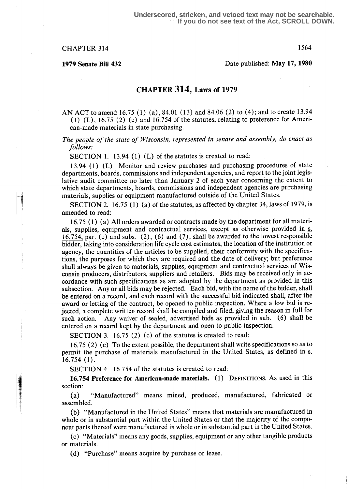# CHAPTER 314 1564

1979 Senate Bill 432 Date published : May 17, 1980

# CHAPTER 314, Laws of 1979

#### AN ACT to amend 16.75 (1) (a), 84.01 (13) and 84.06 (2) to (4); and to create 13.94 (1) (L), 16.75 (2) (c) and 16.754 of the statutes, relating to preference for American-made materials in state purchasing.

## The people of the state of Wisconsin, represented in senate and assembly, do enact as follows:

SECTION 1. 13.94 (1)  $(L)$  of the statutes is created to read:

<sup>13</sup> .94 (1) (L) Monitor and review purchases and purchasing procedures of state departments, boards, commissions and independent agencies, and report to the joint legislative audit committee no later than January 2 of each year concerning the extent to which state departments, boards, commissions and independent agencies are purchasing materials, supplies or equipment manufactured outside of the United States.

SECTION 2. 16.75 (1) (a) of the statutes, as affected by chapter 34, laws of 1979, is amended to read:

16.75 (1) (a) All orders awarded or contracts made by the department for all materials, supplies, equipment and contractual services, except as otherwise provided in s. 16.754, par. (c) and subs.  $(2)$ ,  $(6)$  and  $(7)$ , shall be awarded to the lowest responsible bidder, taking into consideration life cycle cost estimates, the location of the institution or agency, the quantities of the articles to be supplied, their conformity with the specifications, the purposes for which they are required and the date of delivery ; but preference shall always be given to materials, supplies, equipment and contractual services of Wisconsin producers, distributors, suppliers and retailers. Bids may be received only in accordance with such specifications as are adopted by the department as provided in this subsection. Any or all bids may be rejected. Each bid, with the name of the bidder, shall be entered on a record, and each record with the successful bid indicated shall, after the award or letting of the contract, be opened to public inspection. Where a low bid is rejected, a complete written record shall be compiled and filed, giving the reason in full for such action. Any waiver of sealed, advertised bids as provided in sub. (6) shall be entered on a record kept by the department and open to public inspection.

SECTION 3.  $16.75$  (2) (c) of the statutes is created to read:

16.75 (2) (c) To the extent possible, the department shall write specifications so as to permit the purchase of materials manufactured in the United States, as defined in s.  $16.754(1)$ .

SECTION 4. 16.754 of the statutes is created to read:

16.754 Preference for American-made materials. (1) DEFINITIONS. As used in this section:

(a) "Manufactured" means mined, produced, manufactured, fabricated or assembled.

(b) "Manufactured in the United States" means that materials are manufactured in whole or in substantial part within the United States or that the majority of the component parts thereof were manufactured in whole or in substantial part in the United States .

(c) "Materials" means any goods, supplies, equipment or any other tangible products or materials.

(d) "Purchase" means acquire by purchase or lease.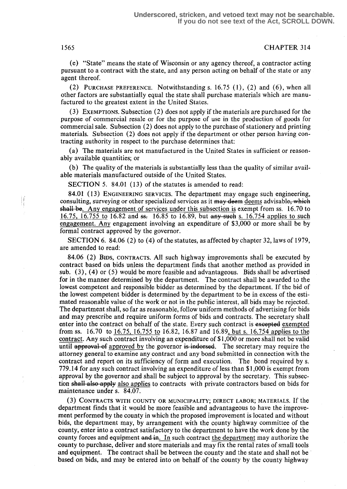1565 CHAPTER 314

(e) "State" means the state of Wisconsin or any agency thereof, a contractor acting pursuant to a contract with the state, and any person acting on behalf of the state or any agent thereof.

(2) PURCHASE PREFERENCE. Notwithstanding s.  $16.75$  (1), (2) and (6), when all other factors are substantially equal the state shall purchase materials which are manufactured to the greatest extent in the United States.

(3) EXEMPTIONS. Subsection (2) does not apply if the materials are purchased for the purpose of commercial resale or for the purpose of use in the production of goods for commercial sale . Subsection (2) does not apply to the purchase of stationery and printing materials. Subsection (2) does not apply if the department or other person having contracting authority in respect to the purchase determines that :

(a) The materials are not manufactured in the United States in sufficient or reasonably available quantities; or

(b) The quality of the materials is substantially less than the quality of similar available materials manufactured outside of the United States.

SECTION 5. 84.01 (13) of the statutes is amended to read:

84.01 (13) ENGINEERING SERVICES. The department may engage such engineering, consulting, surveying or other specialized services as it may deem deems advisable, which  $s$ hall be. Any engagement of services under this subsection is exempt from ss. 16.70 to 16.75, 16.755 to 16.82 and  $s=16.85$  to 16.89, but any such s. 16.754 applies to such engagement. Any engagement involving an expenditure of \$3,000 or more shall be by formal contract approved by the governor.

SECTION 6. 84.06 (2) to (4) of the statutes, as affected by chapter 32, laws of 1979, are amended to read:

84.06 (2) Bins, CONTRACTS. All such highway improvements shall be executed by contract based on bids unless the department finds that another method as provided in sub. (3), (4) or (5) would be more feasible and advantageous . Bids shall be advertised for in the manner determined by the department. The contract shall be awarded to the lowest competent and responsible bidder as determined by the department. If the bid of the lowest competent bidder is determined by the department to be in excess of the estimated reasonable value of the work or not in the public interest, all bids may be rejected. The department shall, so far as reasonable, follow uniform methods of advertising for bids and may prescribe and require uniform forms of bids and contracts. The secretary shall enter into the contract on behalf of the state. Every such contract is excepted exempted from ss . 16.70 to 16.75, 16.755 to 16.82, 16 .87 and 16 .89, but s. 16 .754 applies to the contract. Any such contract involving an expenditure of \$1,000 or more shall not be valid until approval of approved by the governor is indorsed. The secretary may require the attorney general to examine any contract and any bond submitted in connection with the contract and report on its sufficiency of form and execution. The bond required by s. 779.14 for any such contract involving an expenditure of less than \$1,000 is exempt from approval by the governor and shall be subject to approval by the secretary. This subsection shall also apply also applies to contracts with private contractors based on bids for maintenance under s. 84.07.

(3) CONTRACTS WITH COUNTY OR MUNICIPALITY ; DIRECT LABOR; MATERIALS. If the department finds that it would be more feasible and advantageous to have the improvement performed by the county in which the proposed improvement is located and without bids, the department may, by arrangement with the county highway committee of the county, enter into a contract satisfactory to the department to have the work done by the county forces and equipment and in. In such contract the department may authorize the county to purchase, deliver and store materials and may fix the rental rates of small tools and equipment. The contract shall be between the county and the state and shall not be based on bids, and may be entered into on behalf of the county by the county highway

 $\mathbf{r}$